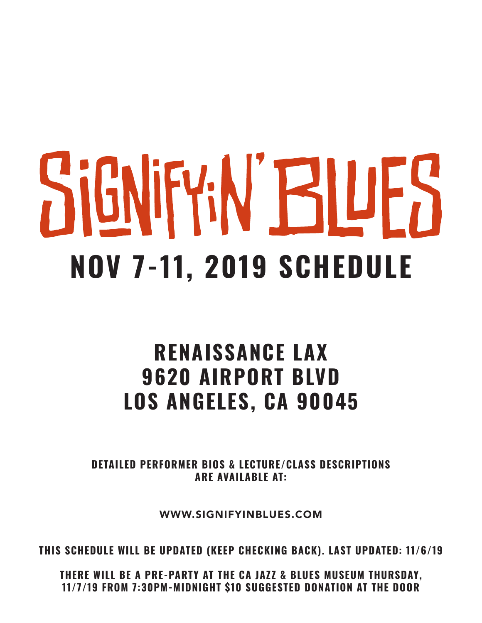# SIGNIFY:N' BILIFS **NOV 7-11, 2019 SCHEDULE**

#### **RENAISSANCE LAX 9620 AIRPORT BLVD LOS ANGELES, CA 90045**

**DETAILED PERFORMER BIOS & LECTURE/CLASS DESCRIPTIONS ARE AVAILABLE AT:**

WWW.SIGNIFYINBLUES.COM

**THIS SCHEDULE WILL BE UPDATED (KEEP CHECKING BACK). LAST UPDATED: 11/6/19**

**THERE WILL BE A PRE-PARTY AT THE CA JAZZ & BLUES MUSEUM THURSDAY, 11/7/19 FROM 7:30PM-MIDNIGHT \$10 SUGGESTED DONATION AT THE DOOR**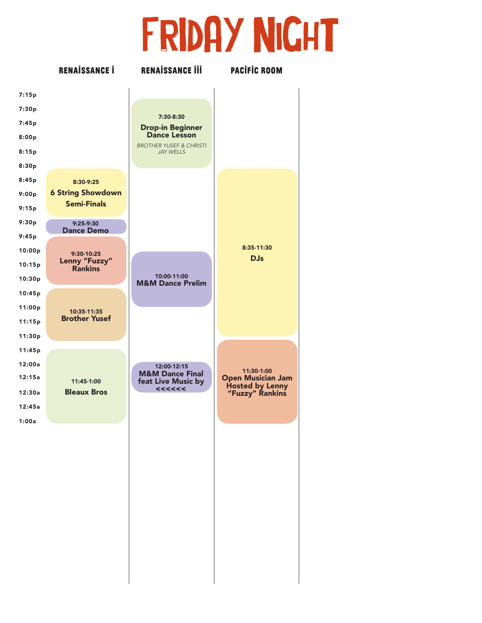# FRIDAY NIGHT

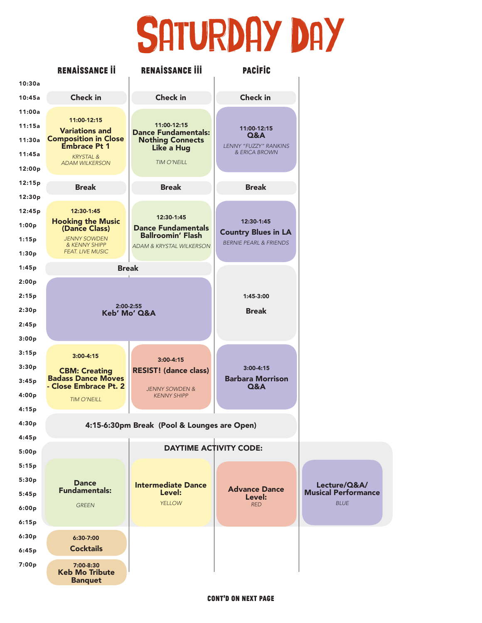## SATURDAY DAY

|        | <b>RENAISSANCE II</b>                                | <b>RENAISSANCE III</b>                          | <b>PACIFIC</b>                                                  |                            |  |  |
|--------|------------------------------------------------------|-------------------------------------------------|-----------------------------------------------------------------|----------------------------|--|--|
| 10:30a |                                                      |                                                 |                                                                 |                            |  |  |
| 10:45a | <b>Check in</b>                                      | <b>Check in</b>                                 | <b>Check in</b>                                                 |                            |  |  |
| 11:00a |                                                      |                                                 |                                                                 |                            |  |  |
| 11:15a | 11:00-12:15<br><b>Variations and</b>                 | 11:00-12:15<br><b>Dance Fundamentals:</b>       | 11:00-12:15                                                     |                            |  |  |
| 11:30a | <b>Composition in Close</b><br><b>Embrace Pt 1</b>   | <b>Nothing Connects</b>                         | Q&A<br><b>LENNY "FUZZY" RANKINS</b>                             |                            |  |  |
| 11:45a | <b>KRYSTAL &amp;</b>                                 | <b>Like a Hug</b>                               | & ERICA BROWN                                                   |                            |  |  |
| 12:00p | <b>ADAM WILKERSON</b>                                | <b>TIM O'NEILL</b>                              |                                                                 |                            |  |  |
| 12:15p | <b>Break</b>                                         | <b>Break</b>                                    | <b>Break</b>                                                    |                            |  |  |
| 12:30p |                                                      |                                                 |                                                                 |                            |  |  |
| 12:45p | 12:30-1:45                                           | 12:30-1:45                                      |                                                                 |                            |  |  |
| 1:00p  | <b>Hooking the Music</b><br>(Dance Class)            | <b>Dance Fundamentals</b>                       | 12:30-1:45                                                      |                            |  |  |
| 1:15p  | <b>JENNY SOWDEN</b><br>& KENNY SHIPP                 | <b>Ballroomin' Flash</b>                        | <b>Country Blues in LA</b><br><b>BERNIE PEARL &amp; FRIENDS</b> |                            |  |  |
| 1:30p  | <b>FEAT. LIVE MUSIC</b>                              | ADAM & KRYSTAL WILKERSON                        |                                                                 |                            |  |  |
| 1:45p  |                                                      | <b>Break</b>                                    |                                                                 |                            |  |  |
| 2:00p  |                                                      |                                                 |                                                                 |                            |  |  |
| 2:15p  |                                                      |                                                 | 1:45-3:00                                                       |                            |  |  |
| 2:30p  | 2:00-2:55<br>Keb' Mo' Q&A                            |                                                 | <b>Break</b>                                                    |                            |  |  |
| 2:45p  |                                                      |                                                 |                                                                 |                            |  |  |
| 3:00p  |                                                      |                                                 |                                                                 |                            |  |  |
| 3:15p  | $3:00 - 4:15$                                        |                                                 |                                                                 |                            |  |  |
| 3:30p  | <b>CBM: Creating</b>                                 | $3:00 - 4:15$<br><b>RESIST! (dance class)</b>   | $3:00 - 4:15$                                                   |                            |  |  |
| 3:45p  | <b>Badass Dance Moves</b><br>- Close Embrace Pt. 2   |                                                 | <b>Barbara Morrison</b><br><b>Q&amp;A</b>                       |                            |  |  |
| 4:00p  | <b>TIM O'NEILL</b>                                   | <b>JENNY SOWDEN &amp;</b><br><b>KENNY SHIPP</b> |                                                                 |                            |  |  |
| 4:15p  |                                                      |                                                 |                                                                 |                            |  |  |
| 4:30p  | 4:15-6:30pm Break (Pool & Lounges are Open)          |                                                 |                                                                 |                            |  |  |
| 4:45p  |                                                      |                                                 |                                                                 |                            |  |  |
| 5:00p  |                                                      |                                                 | <b>DAYTIME ACTIVITY CODE:</b>                                   |                            |  |  |
| 5:15p  |                                                      |                                                 |                                                                 |                            |  |  |
| 5:30p  | <b>Dance</b>                                         | <b>Intermediate Dance</b>                       |                                                                 | Lecture/Q&A/               |  |  |
| 5:45p  | <b>Fundamentals:</b>                                 | Level:                                          | <b>Advance Dance</b><br>Level:                                  | <b>Musical Performance</b> |  |  |
| 6:00p  | <b>GREEN</b>                                         | <b>YELLOW</b>                                   | <b>RED</b>                                                      | <b>BLUE</b>                |  |  |
| 6:15p  |                                                      |                                                 |                                                                 |                            |  |  |
| 6:30p  | 6:30-7:00                                            |                                                 |                                                                 |                            |  |  |
| 6:45p  | <b>Cocktails</b>                                     |                                                 |                                                                 |                            |  |  |
| 7:00p  | 7:00-8:30<br><b>Keb Mo Tribute</b><br><b>Banquet</b> |                                                 |                                                                 |                            |  |  |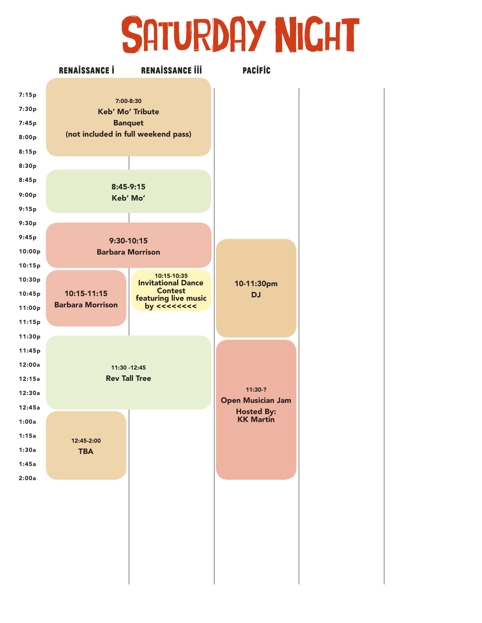### SATURDAY NIGHT

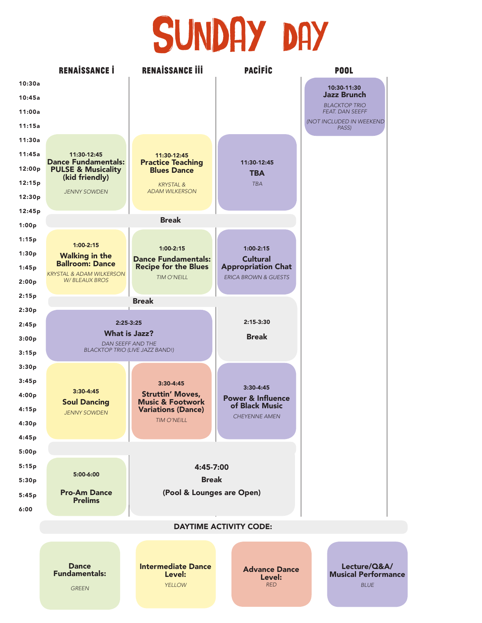#### SUNDAY DAY

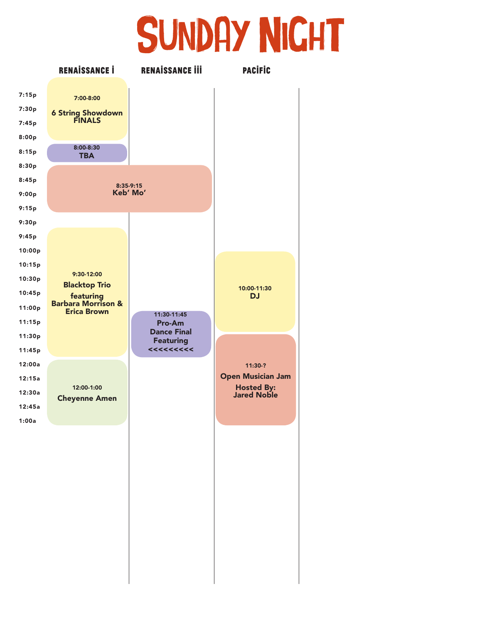#### SUNDAY NIGHT